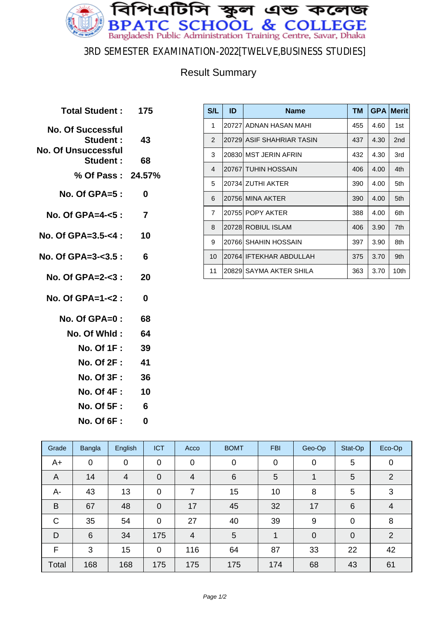

### 3RD SEMESTER EXAMINATION-2022[TWELVE,BUSINESS STUDIES]

### Result Summary

| Total Student: 175                                                 |                |
|--------------------------------------------------------------------|----------------|
| <b>No. Of Successful</b><br>Student:<br><b>No. Of Unsuccessful</b> | 43             |
| Student:                                                           | 68             |
| % Of Pass: 24.57%                                                  |                |
| No. Of GPA= $5:$                                                   | 0              |
| No. Of GPA=4-<5 :                                                  | $\overline{7}$ |
| No. Of GPA=3.5-<4 :                                                | 10             |
| No. Of GPA= $3 - 3.5$ :                                            | 6              |
| No. Of GPA=2-<3 :                                                  | 20             |
| No. Of GPA=1-<2 :                                                  | 0              |
| $No. Of GPA = 0:$                                                  | 68             |
| No. Of Whid :                                                      | 64             |
| No. Of 1F : 39                                                     |                |
| <b>No. Of 2F :</b>                                                 | -41            |
| <b>No. Of 3F :</b>                                                 | 36             |
| No. Of 4F : 10                                                     |                |
| <b>No. Of 5F:</b>                                                  | 6              |
| <b>No. Of 6F:</b>                                                  | 0              |

| <b>S/L</b>     | ID     | <b>Name</b>               | TМ  | <b>GPA</b> | <b>Merit</b>     |
|----------------|--------|---------------------------|-----|------------|------------------|
| 1              |        | 20727 ADNAN HASAN MAHI    | 455 | 4.60       | 1st              |
| 2              |        | 20729 ASIF SHAHRIAR TASIN | 437 | 4.30       | 2 <sub>nd</sub>  |
| 3              |        | 20830 MST JERIN AFRIN     | 432 | 4.30       | 3rd              |
| 4              |        | 20767 TUHIN HOSSAIN       | 406 | 4.00       | 4th              |
| 5              |        | 20734 ZUTHI AKTER         | 390 | 4.00       | 5th              |
| 6              |        | 20756 MINA AKTER          | 390 | 4.00       | 5th              |
| $\overline{7}$ |        | 20755 POPY AKTER          | 388 | 4.00       | 6th              |
| 8              |        | 20728 ROBIUL ISLAM        | 406 | 3.90       | 7th              |
| 9              | 207661 | <b>SHAHIN HOSSAIN</b>     | 397 | 3.90       | 8th              |
| 10             |        | 20764 IFTEKHAR ABDULLAH   | 375 | 3.70       | 9th              |
| 11             |        | 20829 SAYMA AKTER SHILA   | 363 | 3.70       | 10 <sub>th</sub> |

| Grade          | <b>Bangla</b>   | English        | <b>ICT</b>  | Acco           | <b>BOMT</b>     | <b>FBI</b>  | Geo-Op         | Stat-Op     | Eco-Op           |
|----------------|-----------------|----------------|-------------|----------------|-----------------|-------------|----------------|-------------|------------------|
| $A+$           | $\mathbf 0$     | $\mathbf 0$    | $\mathbf 0$ | $\mathbf 0$    | $\overline{0}$  | $\mathbf 0$ | $\mathbf 0$    | 5           | $\boldsymbol{0}$ |
| $\overline{A}$ | 14              | $\overline{4}$ | $\mathbf 0$ | 4              | $6\phantom{1}$  | 5           |                | 5           | $\overline{2}$   |
| А-             | 43              | 13             | $\mathbf 0$ | 7              | 15              | 10          | 8              | 5           | 3                |
| B              | 67              | 48             | $\mathbf 0$ | 17             | 45              | 32          | 17             | 6           | $\overline{4}$   |
| C              | 35              | 54             | $\mathbf 0$ | 27             | 40              | 39          | 9              | $\mathbf 0$ | 8                |
| D              | $6\phantom{1}6$ | 34             | 175         | $\overline{4}$ | $5\phantom{.0}$ | 1           | $\overline{0}$ | $\mathbf 0$ | 2                |
| F              | 3               | 15             | $\mathbf 0$ | 116            | 64              | 87          | 33             | 22          | 42               |
| Total          | 168             | 168            | 175         | 175            | 175             | 174         | 68             | 43          | 61               |